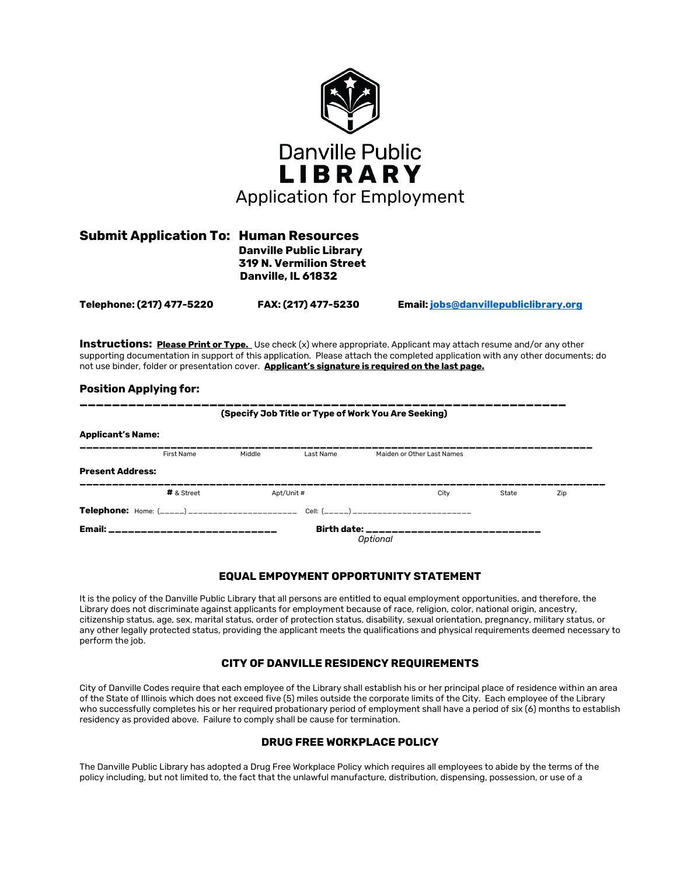

| <b>Submit Application To: Human Resources</b> | <b>Danville Public Library</b>                       |
|-----------------------------------------------|------------------------------------------------------|
|                                               | <b>319 N. Vermilion Street</b><br>Danville, IL 61832 |
|                                               |                                                      |

**Telephone: (217) 477-5220 FAX: (217) 477-5230 Email[: jobs@danvillepubliclibrary.org](mailto:jobs@danvillepubliclibrary.org)**

**Instructions: Please Print or Type.** Use check (x) where appropriate. Applicant may attach resume and/or any other supporting documentation in support of this application. Please attach the completed application with any other documents; do not use binder, folder or presentation cover. **Applicant's signature is required on the last page.**

### **Position Applying for:**

| (Specify Job Title or Type of Work You Are Seeking) |            |        |            |                                                                                             |       |     |
|-----------------------------------------------------|------------|--------|------------|---------------------------------------------------------------------------------------------|-------|-----|
| <b>Applicant's Name:</b>                            |            |        |            |                                                                                             |       |     |
|                                                     | First Name | Middle | Last Name  | Maiden or Other Last Names                                                                  |       |     |
| <b>Present Address:</b>                             |            |        |            |                                                                                             |       |     |
|                                                     | # & Street |        | Apt/Unit # | City                                                                                        | State | Zip |
|                                                     |            |        |            | <b>Telephone:</b> Home: (_____) _____________________ Cell: (_____) _______________________ |       |     |
| Email: _____________________________                |            |        |            | Birth date: ________________________<br><b>Optional</b>                                     |       |     |

### **EQUAL EMPOYMENT OPPORTUNITY STATEMENT**

It is the policy of the Danville Public Library that all persons are entitled to equal employment opportunities, and therefore, the Library does not discriminate against applicants for employment because of race, religion, color, national origin, ancestry, citizenship status, age, sex, marital status, order of protection status, disability, sexual orientation, pregnancy, military status, or any other legally protected status, providing the applicant meets the qualifications and physical requirements deemed necessary to perform the job.

### **CITY OF DANVILLE RESIDENCY REQUIREMENTS**

City of Danville Codes require that each employee of the Library shall establish his or her principal place of residence within an area of the State of Illinois which does not exceed five (5) miles outside the corporate limits of the City. Each employee of the Library who successfully completes his or her required probationary period of employment shall have a period of six (6) months to establish residency as provided above. Failure to comply shall be cause for termination.

### **DRUG FREE WORKPLACE POLICY**

The Danville Public Library has adopted a Drug Free Workplace Policy which requires all employees to abide by the terms of the policy including, but not limited to, the fact that the unlawful manufacture, distribution, dispensing, possession, or use of a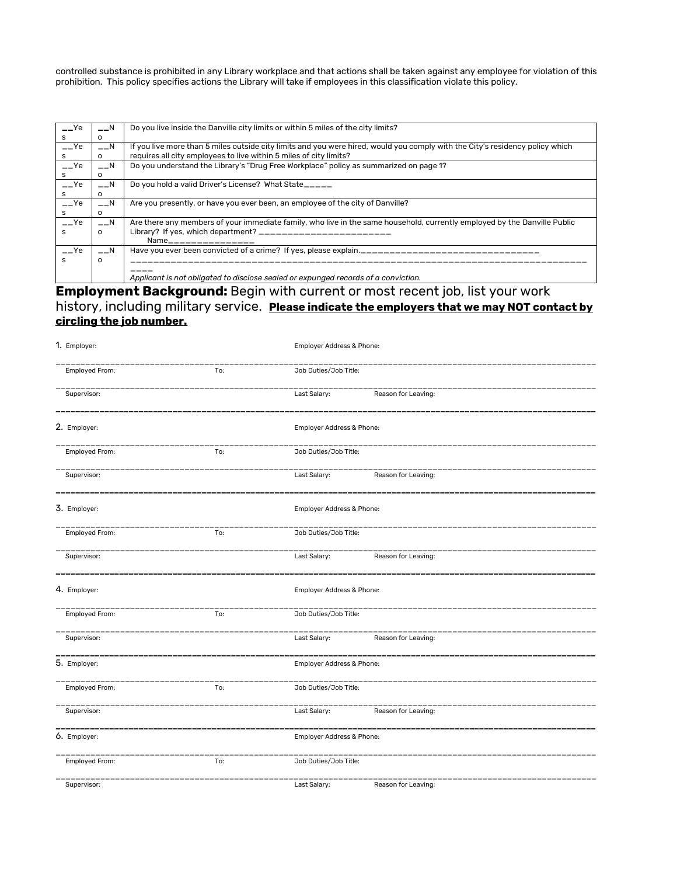controlled substance is prohibited in any Library workplace and that actions shall be taken against any employee for violation of this prohibition. This policy specifies actions the Library will take if employees in this classification violate this policy.

| $ Ye$ | $-1N$    | Do you live inside the Danville city limits or within 5 miles of the city limits?                                             |
|-------|----------|-------------------------------------------------------------------------------------------------------------------------------|
| s     | o        |                                                                                                                               |
| $ Ye$ | $-$ N    | If you live more than 5 miles outside city limits and you were hired, would you comply with the City's residency policy which |
| s     | $\Omega$ | requires all city employees to live within 5 miles of city limits?                                                            |
| $-Ye$ | $-$ N    | Do you understand the Library's "Drug Free Workplace" policy as summarized on page 1?                                         |
|       | O        |                                                                                                                               |
| $-Ye$ | $-$ N    | Do you hold a valid Driver's License? What State_____                                                                         |
| s     | o        |                                                                                                                               |
| $-Ye$ | $-$ N    | Are you presently, or have you ever been, an employee of the city of Danville?                                                |
| s     | o        |                                                                                                                               |
| $-Ye$ | $-$ N    | Are there any members of your immediate family, who live in the same household, currently employed by the Danville Public     |
| s     | $\Omega$ | Library? If yes, which department? ___________________________                                                                |
|       |          | Name________________                                                                                                          |
| $-Ye$ | $-1$ N   | Have you ever been convicted of a crime? If yes, please explain.                                                              |
| s     | o        |                                                                                                                               |
|       |          |                                                                                                                               |
|       |          | Applicant is not obligated to disclose sealed or expunged records of a conviction.                                            |

**Employment Background:** Begin with current or most recent job, list your work history, including military service. **Please indicate the employers that we may NOT contact by circling the job number.**

| 1. Employer:          |                | Employer Address & Phone: |                           |                     |  |
|-----------------------|----------------|---------------------------|---------------------------|---------------------|--|
| Employed From:<br>To: |                |                           | Job Duties/Job Title:     |                     |  |
|                       | Supervisor:    |                           | Last Salary:              | Reason for Leaving: |  |
|                       | 2. Employer:   |                           | Employer Address & Phone: |                     |  |
|                       | Employed From: | To:                       | Job Duties/Job Title:     |                     |  |
|                       | Supervisor:    |                           | Last Salary:              | Reason for Leaving: |  |
|                       | 3. Employer:   |                           | Employer Address & Phone: |                     |  |
|                       | Employed From: | To:                       | Job Duties/Job Title:     |                     |  |
|                       | Supervisor:    |                           | Last Salary:              | Reason for Leaving: |  |
|                       | 4. Employer:   |                           | Employer Address & Phone: |                     |  |
|                       | Employed From: | To:                       | Job Duties/Job Title:     |                     |  |
|                       | Supervisor:    |                           | Last Salary:              | Reason for Leaving: |  |
|                       | 5. Employer:   |                           | Employer Address & Phone: |                     |  |
|                       | Employed From: | To:                       | Job Duties/Job Title:     |                     |  |
|                       | Supervisor:    |                           | Last Salary:              | Reason for Leaving: |  |
|                       | 6. Employer:   |                           | Employer Address & Phone: |                     |  |
|                       | Employed From: | To:                       | Job Duties/Job Title:     |                     |  |
|                       | Supervisor:    |                           | Last Salary:              | Reason for Leaving: |  |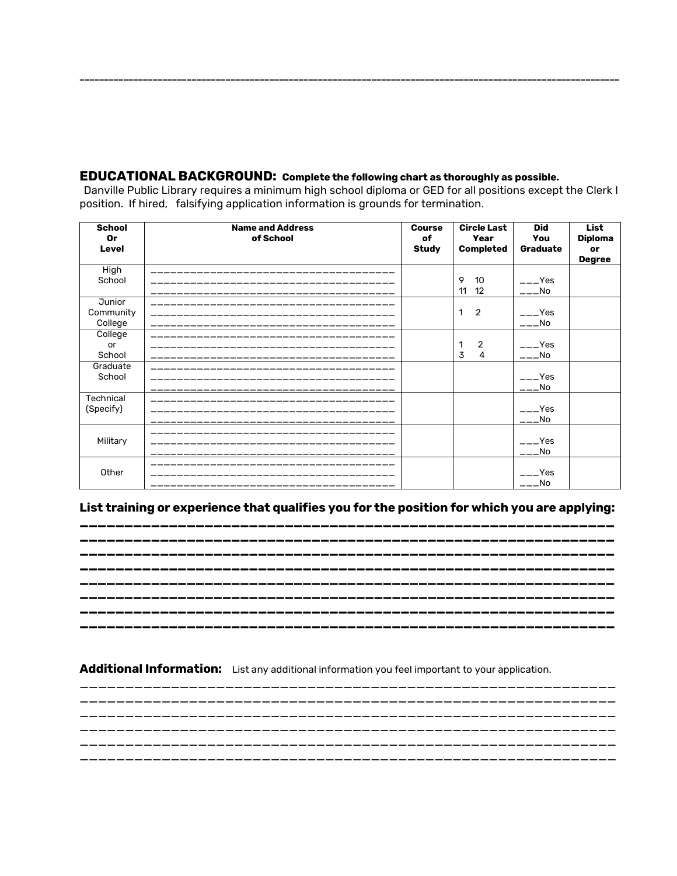## **EDUCATIONAL BACKGROUND:** Complete the following chart as thoroughly as possible.

Danville Public Library requires a minimum high school diploma or GED for all positions except the Clerk I position. If hired, falsifying application information is grounds for termination.

| <b>School</b><br>0r<br>Level          | <b>Name and Address</b><br>of School | <b>Course</b><br>of<br><b>Study</b> | <b>Circle Last</b><br>Year<br><b>Completed</b> | <b>Did</b><br>You<br>Graduate | <b>List</b><br><b>Diploma</b><br>or<br><b>Degree</b> |
|---------------------------------------|--------------------------------------|-------------------------------------|------------------------------------------------|-------------------------------|------------------------------------------------------|
| High<br>School                        |                                      |                                     | 9<br>10<br>12<br>11                            | $---Yes$<br>$---No$           |                                                      |
| <b>Junior</b><br>Community<br>College |                                      |                                     | $\overline{2}$<br>1                            | $---Yes$<br>$---No$           |                                                      |
| College<br>or<br>School               |                                      |                                     | $\overline{2}$<br>1<br>3<br>4                  | $---Yes$<br>$---No$           |                                                      |
| Graduate<br>School                    |                                      |                                     |                                                | $---Yes$<br>$---No$           |                                                      |
| Technical<br>(Specify)                |                                      |                                     |                                                | $---Yes$<br>$---No$           |                                                      |
| Military                              |                                      |                                     |                                                | $---Yes$<br>$---No$           |                                                      |
| Other                                 |                                      |                                     |                                                | $---Yes$<br>$---No$           |                                                      |

# List training or experience that qualifies you for the position for which you are applying:

## Additional Information: List any additional information you feel important to your application.

\_\_\_\_\_\_\_ \_\_\_\_\_\_\_\_\_ ----------------------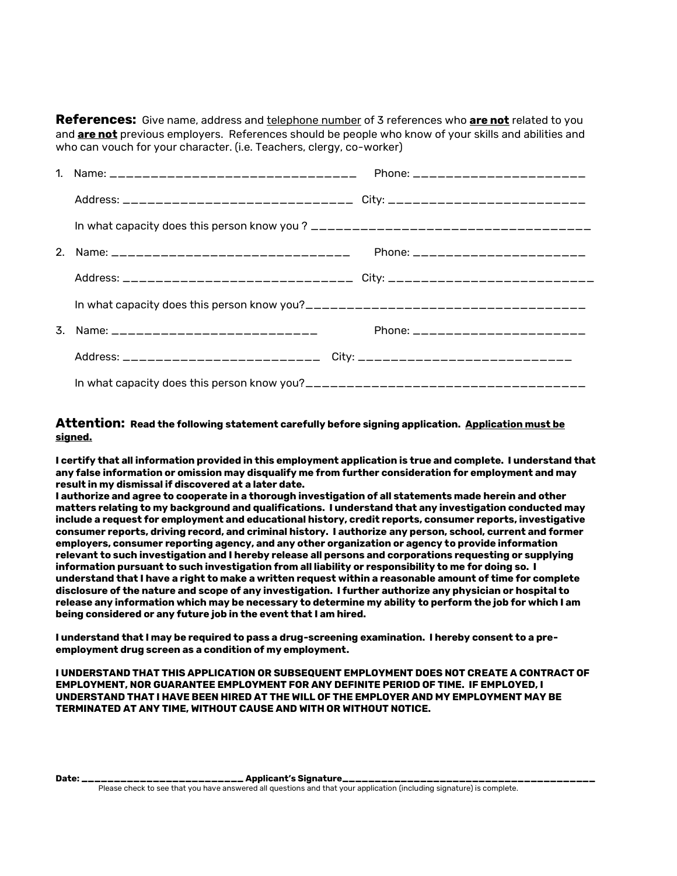**References:** Give name, address and telephone number of 3 references who **are not** related to you and **are not** previous employers. References should be people who know of your skills and abilities and who can vouch for your character. (i.e. Teachers, clergy, co-worker)

| 2. Name: __________________________________                                     | Phone: _______________________ |
|---------------------------------------------------------------------------------|--------------------------------|
| Address: ______________________________ City: _________________________________ |                                |
|                                                                                 |                                |
| 3. Name: _____________________________                                          | Phone: _______________________ |
|                                                                                 |                                |
|                                                                                 |                                |

### **Attention: Read the following statement carefully before signing application. Application must be signed.**

**I certify that all information provided in this employment application is true and complete. I understand that any false information or omission may disqualify me from further consideration for employment and may result in my dismissal if discovered at a later date.**

**I authorize and agree to cooperate in a thorough investigation of all statements made herein and other matters relating to my background and qualifications. I understand that any investigation conducted may include a request for employment and educational history, credit reports, consumer reports, investigative consumer reports, driving record, and criminal history. I authorize any person, school, current and former employers, consumer reporting agency, and any other organization or agency to provide information relevant to such investigation and I hereby release all persons and corporations requesting or supplying information pursuant to such investigation from all liability or responsibility to me for doing so. I understand that I have a right to make a written request within a reasonable amount of time for complete disclosure of the nature and scope of any investigation. I further authorize any physician or hospital to release any information which may be necessary to determine my ability to perform the job for which I am being considered or any future job in the event that I am hired.**

**I understand that I may be required to pass a drug-screening examination. I hereby consent to a preemployment drug screen as a condition of my employment.**

**I UNDERSTAND THAT THIS APPLICATION OR SUBSEQUENT EMPLOYMENT DOES NOT CREATE A CONTRACT OF EMPLOYMENT, NOR GUARANTEE EMPLOYMENT FOR ANY DEFINITE PERIOD OF TIME. IF EMPLOYED, I UNDERSTAND THAT I HAVE BEEN HIRED AT THE WILL OF THE EMPLOYER AND MY EMPLOYMENT MAY BE TERMINATED AT ANY TIME, WITHOUT CAUSE AND WITH OR WITHOUT NOTICE.**

**Date: \_\_\_\_\_\_\_\_\_\_\_\_\_\_\_\_\_\_\_\_\_\_\_\_\_ Applicant's Signature\_\_\_\_\_\_\_\_\_\_\_\_\_\_\_\_\_\_\_\_\_\_\_\_\_\_\_\_\_\_\_\_\_\_\_\_\_\_\_** Please check to see that you have answered all questions and that your application (including signature) is complete.